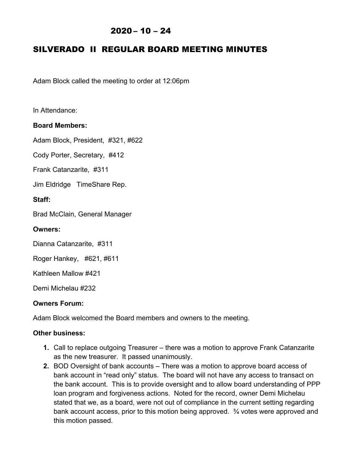## $2020 - 10 - 24$

# SILVERADO II REGULAR BOARD MEETING MINUTES

Adam Block called the meeting to order at 12:06pm

In Attendance:

### **Board Members:**

Adam Block, President, #321, #622

Cody Porter, Secretary, #412

Frank Catanzarite, #311

Jim Eldridge TimeShare Rep.

### **Staff:**

Brad McClain, General Manager

### **Owners:**

Dianna Catanzarite, #311

Roger Hankey, #621, #611

Kathleen Mallow #421

Demi Michelau #232

### **Owners Forum:**

Adam Block welcomed the Board members and owners to the meeting.

### **Other business:**

- **1.** Call to replace outgoing Treasurer there was a motion to approve Frank Catanzarite as the new treasurer. It passed unanimously.
- **2.** BOD Oversight of bank accounts There was a motion to approve board access of bank account in "read only" status. The board will not have any access to transact on the bank account. This is to provide oversight and to allow board understanding of PPP loan program and forgiveness actions. Noted for the record, owner Demi Michelau stated that we, as a board, were not out of compliance in the current setting regarding bank account access, prior to this motion being approved. ¾ votes were approved and this motion passed.